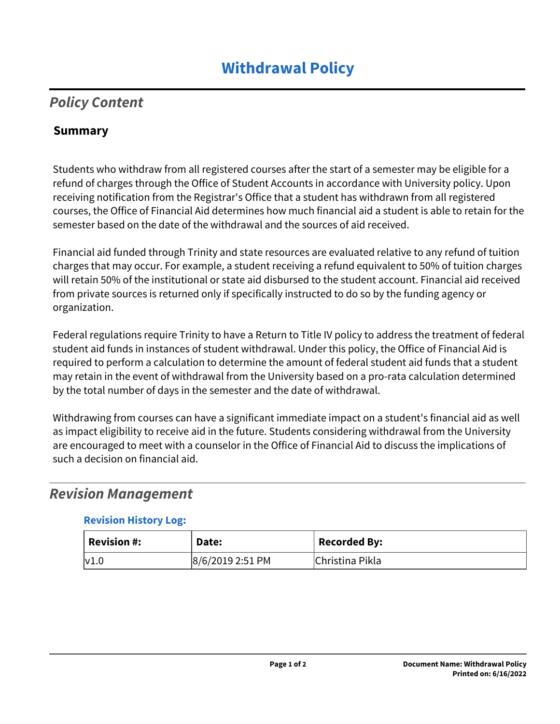# *Policy Content*

#### **Summary**

Students who withdraw from all registered courses after the start of a semester may be eligible for a refund of charges through the Office of Student Accounts in accordance with University policy. Upon receiving notification from the Registrar's Office that a student has withdrawn from all registered courses, the Office of Financial Aid determines how much financial aid a student is able to retain for the semester based on the date of the withdrawal and the sources of aid received.

Financial aid funded through Trinity and state resources are evaluated relative to any refund of tuition charges that may occur. For example, a student receiving a refund equivalent to 50% of tuition charges will retain 50% of the institutional or state aid disbursed to the student account. Financial aid received from private sources is returned only if specifically instructed to do so by the funding agency or organization.

Federal regulations require Trinity to have a Return to Title IV policy to address the treatment of federal student aid funds in instances of student withdrawal. Under this policy, the Office of Financial Aid is required to perform a calculation to determine the amount of federal student aid funds that a student may retain in the event of withdrawal from the University based on a pro-rata calculation determined by the total number of days in the semester and the date of withdrawal.

Withdrawing from courses can have a significant immediate impact on a student's financial aid as well as impact eligibility to receive aid in the future. Students considering withdrawal from the University are encouraged to meet with a counselor in the Office of Financial Aid to discuss the implications of such a decision on financial aid.

## *Revision Management*

#### **Revision History Log:**

| $^{\cdot}$ Revision #: | Date:            | <b>Recorded By:</b> |
|------------------------|------------------|---------------------|
| v1.0                   | 8/6/2019 2:51 PM | Christina Pikla     |